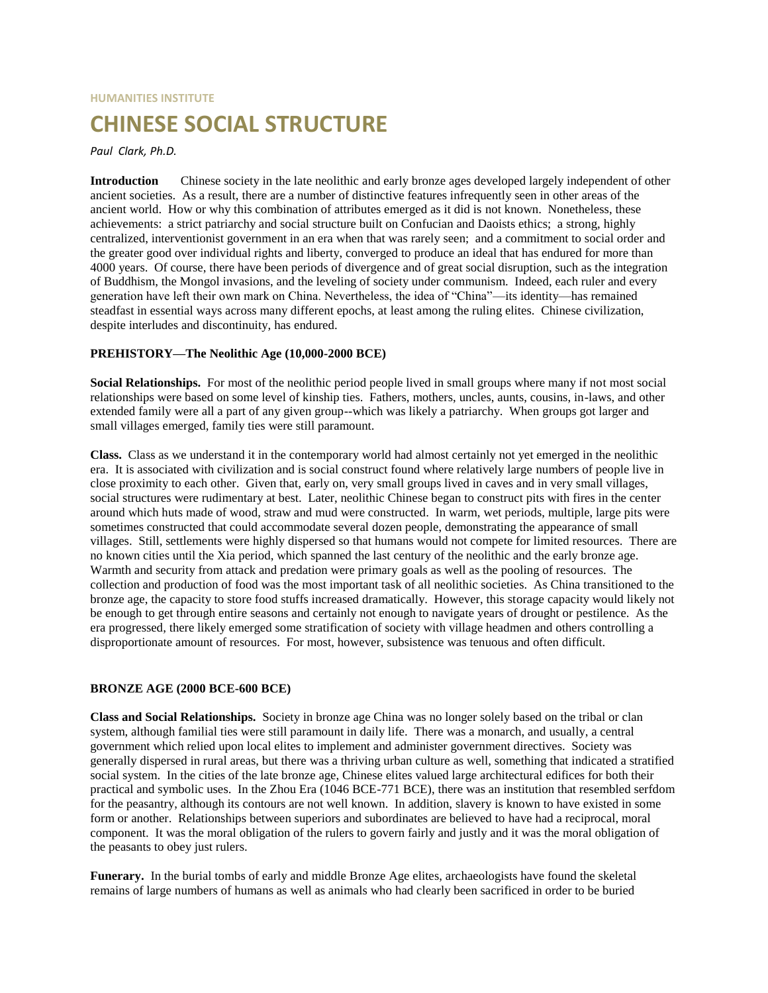# **HUMANITIES INSTITUTE CHINESE SOCIAL STRUCTURE**

#### *Paul Clark, Ph.D.*

**Introduction** Chinese society in the late neolithic and early bronze ages developed largely independent of other ancient societies. As a result, there are a number of distinctive features infrequently seen in other areas of the ancient world. How or why this combination of attributes emerged as it did is not known. Nonetheless, these achievements: a strict patriarchy and social structure built on Confucian and Daoists ethics; a strong, highly centralized, interventionist government in an era when that was rarely seen; and a commitment to social order and the greater good over individual rights and liberty, converged to produce an ideal that has endured for more than 4000 years. Of course, there have been periods of divergence and of great social disruption, such as the integration of Buddhism, the Mongol invasions, and the leveling of society under communism. Indeed, each ruler and every generation have left their own mark on China. Nevertheless, the idea of "China"—its identity—has remained steadfast in essential ways across many different epochs, at least among the ruling elites. Chinese civilization, despite interludes and discontinuity, has endured.

#### **PREHISTORY—The Neolithic Age (10,000-2000 BCE)**

**Social Relationships.** For most of the neolithic period people lived in small groups where many if not most social relationships were based on some level of kinship ties. Fathers, mothers, uncles, aunts, cousins, in-laws, and other extended family were all a part of any given group--which was likely a patriarchy. When groups got larger and small villages emerged, family ties were still paramount.

**Class.** Class as we understand it in the contemporary world had almost certainly not yet emerged in the neolithic era. It is associated with civilization and is social construct found where relatively large numbers of people live in close proximity to each other. Given that, early on, very small groups lived in caves and in very small villages, social structures were rudimentary at best. Later, neolithic Chinese began to construct pits with fires in the center around which huts made of wood, straw and mud were constructed. In warm, wet periods, multiple, large pits were sometimes constructed that could accommodate several dozen people, demonstrating the appearance of small villages. Still, settlements were highly dispersed so that humans would not compete for limited resources. There are no known cities until the Xia period, which spanned the last century of the neolithic and the early bronze age. Warmth and security from attack and predation were primary goals as well as the pooling of resources. The collection and production of food was the most important task of all neolithic societies. As China transitioned to the bronze age, the capacity to store food stuffs increased dramatically. However, this storage capacity would likely not be enough to get through entire seasons and certainly not enough to navigate years of drought or pestilence. As the era progressed, there likely emerged some stratification of society with village headmen and others controlling a disproportionate amount of resources. For most, however, subsistence was tenuous and often difficult.

# **BRONZE AGE (2000 BCE-600 BCE)**

**Class and Social Relationships.** Society in bronze age China was no longer solely based on the tribal or clan system, although familial ties were still paramount in daily life. There was a monarch, and usually, a central government which relied upon local elites to implement and administer government directives. Society was generally dispersed in rural areas, but there was a thriving urban culture as well, something that indicated a stratified social system. In the cities of the late bronze age, Chinese elites valued large architectural edifices for both their practical and symbolic uses. In the Zhou Era (1046 BCE-771 BCE), there was an institution that resembled serfdom for the peasantry, although its contours are not well known. In addition, slavery is known to have existed in some form or another. Relationships between superiors and subordinates are believed to have had a reciprocal, moral component. It was the moral obligation of the rulers to govern fairly and justly and it was the moral obligation of the peasants to obey just rulers.

**Funerary.** In the burial tombs of early and middle Bronze Age elites, archaeologists have found the skeletal remains of large numbers of humans as well as animals who had clearly been sacrificed in order to be buried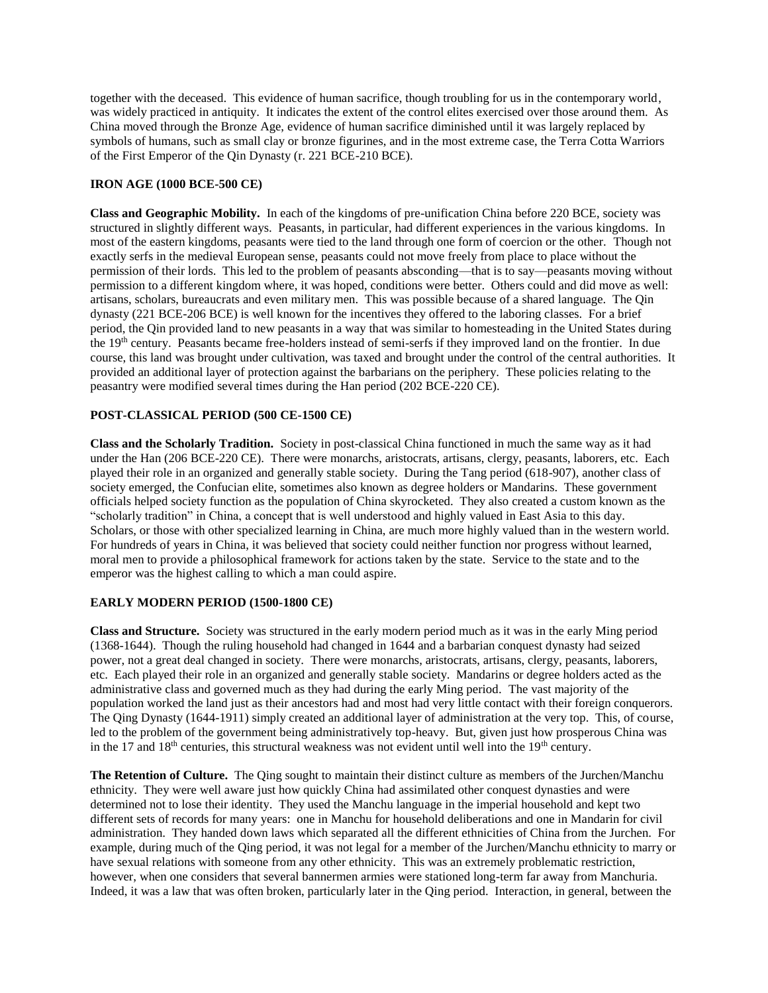together with the deceased. This evidence of human sacrifice, though troubling for us in the contemporary world, was widely practiced in antiquity. It indicates the extent of the control elites exercised over those around them. As China moved through the Bronze Age, evidence of human sacrifice diminished until it was largely replaced by symbols of humans, such as small clay or bronze figurines, and in the most extreme case, the Terra Cotta Warriors of the First Emperor of the Qin Dynasty (r. 221 BCE-210 BCE).

#### **IRON AGE (1000 BCE-500 CE)**

**Class and Geographic Mobility.** In each of the kingdoms of pre-unification China before 220 BCE, society was structured in slightly different ways. Peasants, in particular, had different experiences in the various kingdoms. In most of the eastern kingdoms, peasants were tied to the land through one form of coercion or the other. Though not exactly serfs in the medieval European sense, peasants could not move freely from place to place without the permission of their lords. This led to the problem of peasants absconding—that is to say—peasants moving without permission to a different kingdom where, it was hoped, conditions were better. Others could and did move as well: artisans, scholars, bureaucrats and even military men. This was possible because of a shared language. The Qin dynasty (221 BCE-206 BCE) is well known for the incentives they offered to the laboring classes. For a brief period, the Qin provided land to new peasants in a way that was similar to homesteading in the United States during the 19th century. Peasants became free-holders instead of semi-serfs if they improved land on the frontier. In due course, this land was brought under cultivation, was taxed and brought under the control of the central authorities. It provided an additional layer of protection against the barbarians on the periphery. These policies relating to the peasantry were modified several times during the Han period (202 BCE-220 CE).

# **POST-CLASSICAL PERIOD (500 CE-1500 CE)**

**Class and the Scholarly Tradition.** Society in post-classical China functioned in much the same way as it had under the Han (206 BCE-220 CE). There were monarchs, aristocrats, artisans, clergy, peasants, laborers, etc. Each played their role in an organized and generally stable society. During the Tang period (618-907), another class of society emerged, the Confucian elite, sometimes also known as degree holders or Mandarins. These government officials helped society function as the population of China skyrocketed. They also created a custom known as the "scholarly tradition" in China, a concept that is well understood and highly valued in East Asia to this day. Scholars, or those with other specialized learning in China, are much more highly valued than in the western world. For hundreds of years in China, it was believed that society could neither function nor progress without learned, moral men to provide a philosophical framework for actions taken by the state. Service to the state and to the emperor was the highest calling to which a man could aspire.

# **EARLY MODERN PERIOD (1500-1800 CE)**

**Class and Structure.** Society was structured in the early modern period much as it was in the early Ming period (1368-1644). Though the ruling household had changed in 1644 and a barbarian conquest dynasty had seized power, not a great deal changed in society. There were monarchs, aristocrats, artisans, clergy, peasants, laborers, etc. Each played their role in an organized and generally stable society. Mandarins or degree holders acted as the administrative class and governed much as they had during the early Ming period. The vast majority of the population worked the land just as their ancestors had and most had very little contact with their foreign conquerors. The Qing Dynasty (1644-1911) simply created an additional layer of administration at the very top. This, of course, led to the problem of the government being administratively top-heavy. But, given just how prosperous China was in the 17 and  $18<sup>th</sup>$  centuries, this structural weakness was not evident until well into the  $19<sup>th</sup>$  century.

**The Retention of Culture.** The Qing sought to maintain their distinct culture as members of the Jurchen/Manchu ethnicity. They were well aware just how quickly China had assimilated other conquest dynasties and were determined not to lose their identity. They used the Manchu language in the imperial household and kept two different sets of records for many years: one in Manchu for household deliberations and one in Mandarin for civil administration. They handed down laws which separated all the different ethnicities of China from the Jurchen. For example, during much of the Qing period, it was not legal for a member of the Jurchen/Manchu ethnicity to marry or have sexual relations with someone from any other ethnicity. This was an extremely problematic restriction, however, when one considers that several bannermen armies were stationed long-term far away from Manchuria. Indeed, it was a law that was often broken, particularly later in the Qing period. Interaction, in general, between the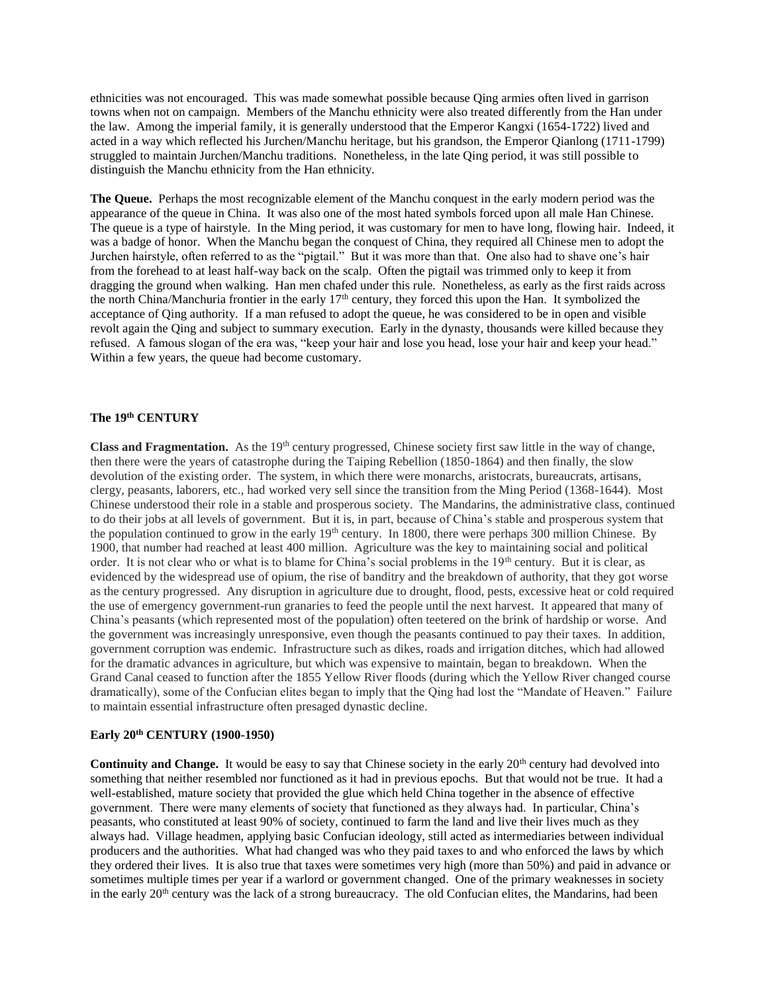ethnicities was not encouraged. This was made somewhat possible because Qing armies often lived in garrison towns when not on campaign. Members of the Manchu ethnicity were also treated differently from the Han under the law. Among the imperial family, it is generally understood that the Emperor Kangxi (1654-1722) lived and acted in a way which reflected his Jurchen/Manchu heritage, but his grandson, the Emperor Qianlong (1711-1799) struggled to maintain Jurchen/Manchu traditions. Nonetheless, in the late Qing period, it was still possible to distinguish the Manchu ethnicity from the Han ethnicity.

**The Queue.** Perhaps the most recognizable element of the Manchu conquest in the early modern period was the appearance of the queue in China. It was also one of the most hated symbols forced upon all male Han Chinese. The queue is a type of hairstyle. In the Ming period, it was customary for men to have long, flowing hair. Indeed, it was a badge of honor. When the Manchu began the conquest of China, they required all Chinese men to adopt the Jurchen hairstyle, often referred to as the "pigtail." But it was more than that. One also had to shave one's hair from the forehead to at least half-way back on the scalp. Often the pigtail was trimmed only to keep it from dragging the ground when walking. Han men chafed under this rule. Nonetheless, as early as the first raids across the north China/Manchuria frontier in the early 17<sup>th</sup> century, they forced this upon the Han. It symbolized the acceptance of Qing authority. If a man refused to adopt the queue, he was considered to be in open and visible revolt again the Qing and subject to summary execution. Early in the dynasty, thousands were killed because they refused. A famous slogan of the era was, "keep your hair and lose you head, lose your hair and keep your head." Within a few years, the queue had become customary.

# **The 19th CENTURY**

**Class and Fragmentation.** As the 19<sup>th</sup> century progressed, Chinese society first saw little in the way of change, then there were the years of catastrophe during the Taiping Rebellion (1850-1864) and then finally, the slow devolution of the existing order. The system, in which there were monarchs, aristocrats, bureaucrats, artisans, clergy, peasants, laborers, etc., had worked very sell since the transition from the Ming Period (1368-1644). Most Chinese understood their role in a stable and prosperous society. The Mandarins, the administrative class, continued to do their jobs at all levels of government. But it is, in part, because of China's stable and prosperous system that the population continued to grow in the early  $19<sup>th</sup>$  century. In 1800, there were perhaps 300 million Chinese. By 1900, that number had reached at least 400 million. Agriculture was the key to maintaining social and political order. It is not clear who or what is to blame for China's social problems in the 19<sup>th</sup> century. But it is clear, as evidenced by the widespread use of opium, the rise of banditry and the breakdown of authority, that they got worse as the century progressed. Any disruption in agriculture due to drought, flood, pests, excessive heat or cold required the use of emergency government-run granaries to feed the people until the next harvest. It appeared that many of China's peasants (which represented most of the population) often teetered on the brink of hardship or worse. And the government was increasingly unresponsive, even though the peasants continued to pay their taxes. In addition, government corruption was endemic. Infrastructure such as dikes, roads and irrigation ditches, which had allowed for the dramatic advances in agriculture, but which was expensive to maintain, began to breakdown. When the Grand Canal ceased to function after the 1855 Yellow River floods (during which the Yellow River changed course dramatically), some of the Confucian elites began to imply that the Qing had lost the "Mandate of Heaven." Failure to maintain essential infrastructure often presaged dynastic decline.

#### **Early 20th CENTURY (1900-1950)**

**Continuity and Change.** It would be easy to say that Chinese society in the early 20<sup>th</sup> century had devolved into something that neither resembled nor functioned as it had in previous epochs. But that would not be true. It had a well-established, mature society that provided the glue which held China together in the absence of effective government. There were many elements of society that functioned as they always had. In particular, China's peasants, who constituted at least 90% of society, continued to farm the land and live their lives much as they always had. Village headmen, applying basic Confucian ideology, still acted as intermediaries between individual producers and the authorities. What had changed was who they paid taxes to and who enforced the laws by which they ordered their lives. It is also true that taxes were sometimes very high (more than 50%) and paid in advance or sometimes multiple times per year if a warlord or government changed. One of the primary weaknesses in society in the early  $20<sup>th</sup>$  century was the lack of a strong bureaucracy. The old Confucian elites, the Mandarins, had been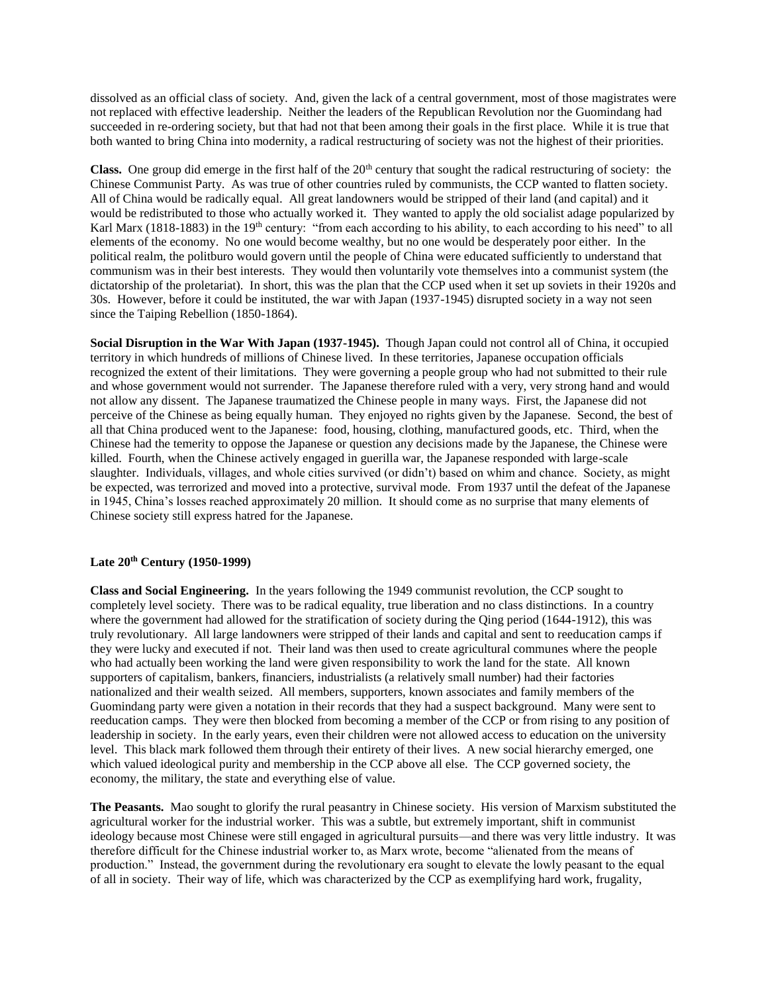dissolved as an official class of society. And, given the lack of a central government, most of those magistrates were not replaced with effective leadership. Neither the leaders of the Republican Revolution nor the Guomindang had succeeded in re-ordering society, but that had not that been among their goals in the first place. While it is true that both wanted to bring China into modernity, a radical restructuring of society was not the highest of their priorities.

**Class.** One group did emerge in the first half of the 20<sup>th</sup> century that sought the radical restructuring of society: the Chinese Communist Party. As was true of other countries ruled by communists, the CCP wanted to flatten society. All of China would be radically equal. All great landowners would be stripped of their land (and capital) and it would be redistributed to those who actually worked it. They wanted to apply the old socialist adage popularized by Karl Marx (1818-1883) in the 19<sup>th</sup> century: "from each according to his ability, to each according to his need" to all elements of the economy. No one would become wealthy, but no one would be desperately poor either. In the political realm, the politburo would govern until the people of China were educated sufficiently to understand that communism was in their best interests. They would then voluntarily vote themselves into a communist system (the dictatorship of the proletariat). In short, this was the plan that the CCP used when it set up soviets in their 1920s and 30s. However, before it could be instituted, the war with Japan (1937-1945) disrupted society in a way not seen since the Taiping Rebellion (1850-1864).

**Social Disruption in the War With Japan (1937-1945).** Though Japan could not control all of China, it occupied territory in which hundreds of millions of Chinese lived. In these territories, Japanese occupation officials recognized the extent of their limitations. They were governing a people group who had not submitted to their rule and whose government would not surrender. The Japanese therefore ruled with a very, very strong hand and would not allow any dissent. The Japanese traumatized the Chinese people in many ways. First, the Japanese did not perceive of the Chinese as being equally human. They enjoyed no rights given by the Japanese. Second, the best of all that China produced went to the Japanese: food, housing, clothing, manufactured goods, etc. Third, when the Chinese had the temerity to oppose the Japanese or question any decisions made by the Japanese, the Chinese were killed. Fourth, when the Chinese actively engaged in guerilla war, the Japanese responded with large-scale slaughter. Individuals, villages, and whole cities survived (or didn't) based on whim and chance. Society, as might be expected, was terrorized and moved into a protective, survival mode. From 1937 until the defeat of the Japanese in 1945, China's losses reached approximately 20 million. It should come as no surprise that many elements of Chinese society still express hatred for the Japanese.

# **Late 20th Century (1950-1999)**

**Class and Social Engineering.** In the years following the 1949 communist revolution, the CCP sought to completely level society. There was to be radical equality, true liberation and no class distinctions. In a country where the government had allowed for the stratification of society during the Qing period (1644-1912), this was truly revolutionary. All large landowners were stripped of their lands and capital and sent to reeducation camps if they were lucky and executed if not. Their land was then used to create agricultural communes where the people who had actually been working the land were given responsibility to work the land for the state. All known supporters of capitalism, bankers, financiers, industrialists (a relatively small number) had their factories nationalized and their wealth seized. All members, supporters, known associates and family members of the Guomindang party were given a notation in their records that they had a suspect background. Many were sent to reeducation camps. They were then blocked from becoming a member of the CCP or from rising to any position of leadership in society. In the early years, even their children were not allowed access to education on the university level. This black mark followed them through their entirety of their lives. A new social hierarchy emerged, one which valued ideological purity and membership in the CCP above all else. The CCP governed society, the economy, the military, the state and everything else of value.

**The Peasants.** Mao sought to glorify the rural peasantry in Chinese society. His version of Marxism substituted the agricultural worker for the industrial worker. This was a subtle, but extremely important, shift in communist ideology because most Chinese were still engaged in agricultural pursuits—and there was very little industry. It was therefore difficult for the Chinese industrial worker to, as Marx wrote, become "alienated from the means of production." Instead, the government during the revolutionary era sought to elevate the lowly peasant to the equal of all in society. Their way of life, which was characterized by the CCP as exemplifying hard work, frugality,